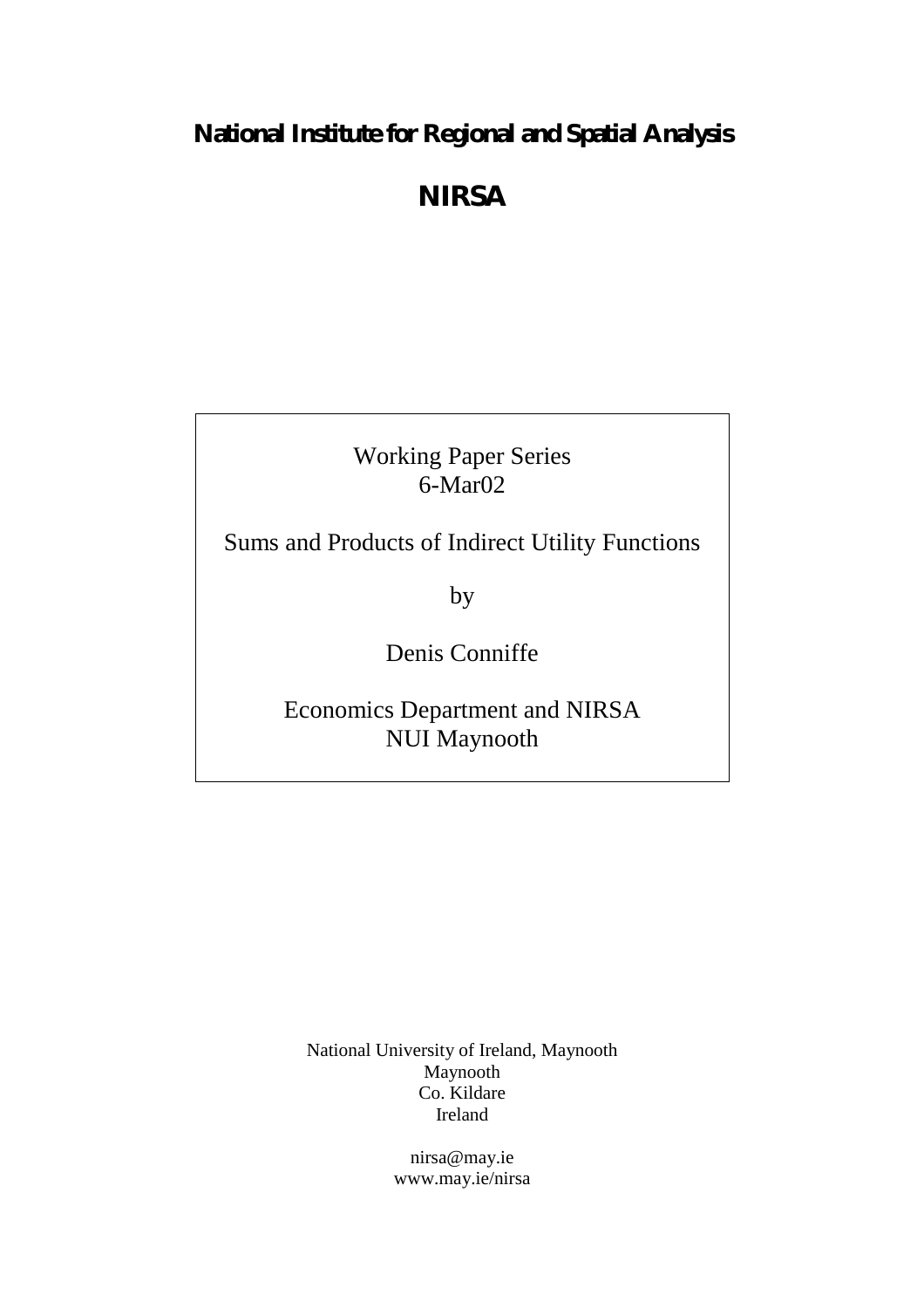# **National Institute for Regional and Spatial Analysis**

# **NIRSA**

Working Paper Series 6-Mar02

Sums and Products of Indirect Utility Functions

by

Denis Conniffe

Economics Department and NIRSA NUI Maynooth

National University of Ireland, Maynooth Maynooth Co. Kildare Ireland

> nirsa@may.ie www.may.ie/nirsa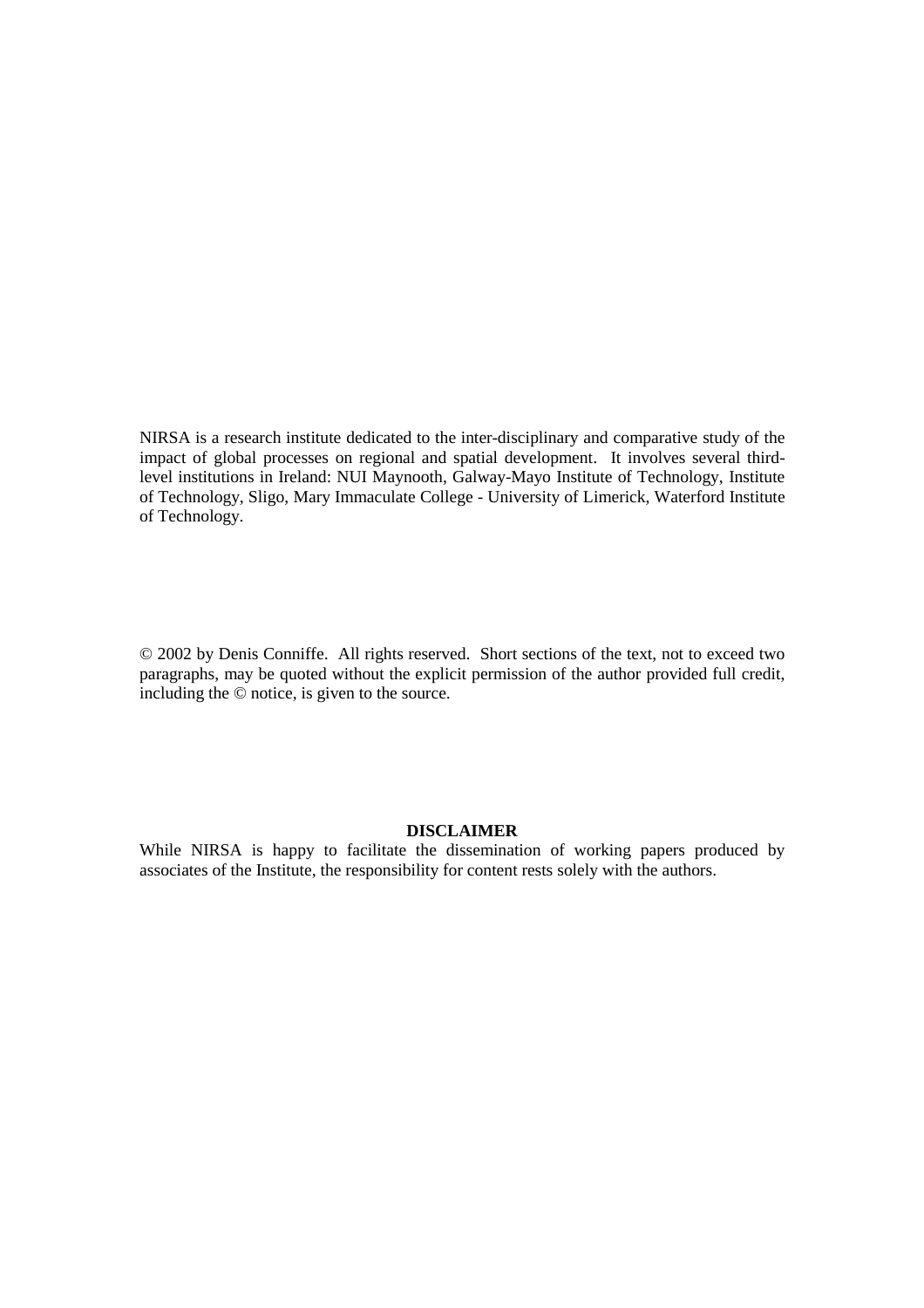NIRSA is a research institute dedicated to the inter-disciplinary and comparative study of the impact of global processes on regional and spatial development. It involves several thirdlevel institutions in Ireland: NUI Maynooth, Galway-Mayo Institute of Technology, Institute of Technology, Sligo, Mary Immaculate College - University of Limerick, Waterford Institute of Technology.

© 2002 by Denis Conniffe. All rights reserved. Short sections of the text, not to exceed two paragraphs, may be quoted without the explicit permission of the author provided full credit, including the © notice, is given to the source.

# **DISCLAIMER**

While NIRSA is happy to facilitate the dissemination of working papers produced by associates of the Institute, the responsibility for content rests solely with the authors.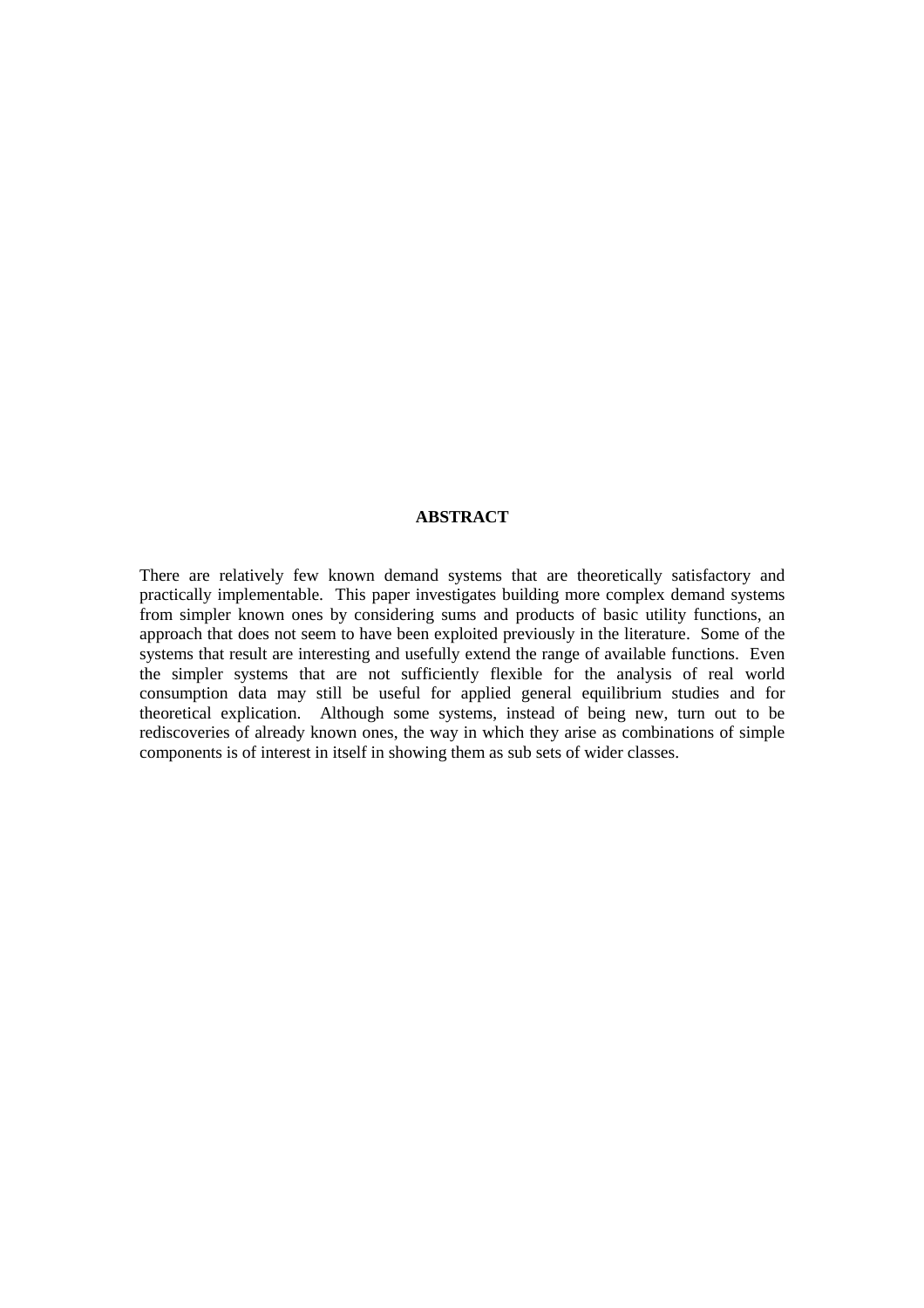# **ABSTRACT**

There are relatively few known demand systems that are theoretically satisfactory and practically implementable. This paper investigates building more complex demand systems from simpler known ones by considering sums and products of basic utility functions, an approach that does not seem to have been exploited previously in the literature. Some of the systems that result are interesting and usefully extend the range of available functions. Even the simpler systems that are not sufficiently flexible for the analysis of real world consumption data may still be useful for applied general equilibrium studies and for theoretical explication. Although some systems, instead of being new, turn out to be rediscoveries of already known ones, the way in which they arise as combinations of simple components is of interest in itself in showing them as sub sets of wider classes.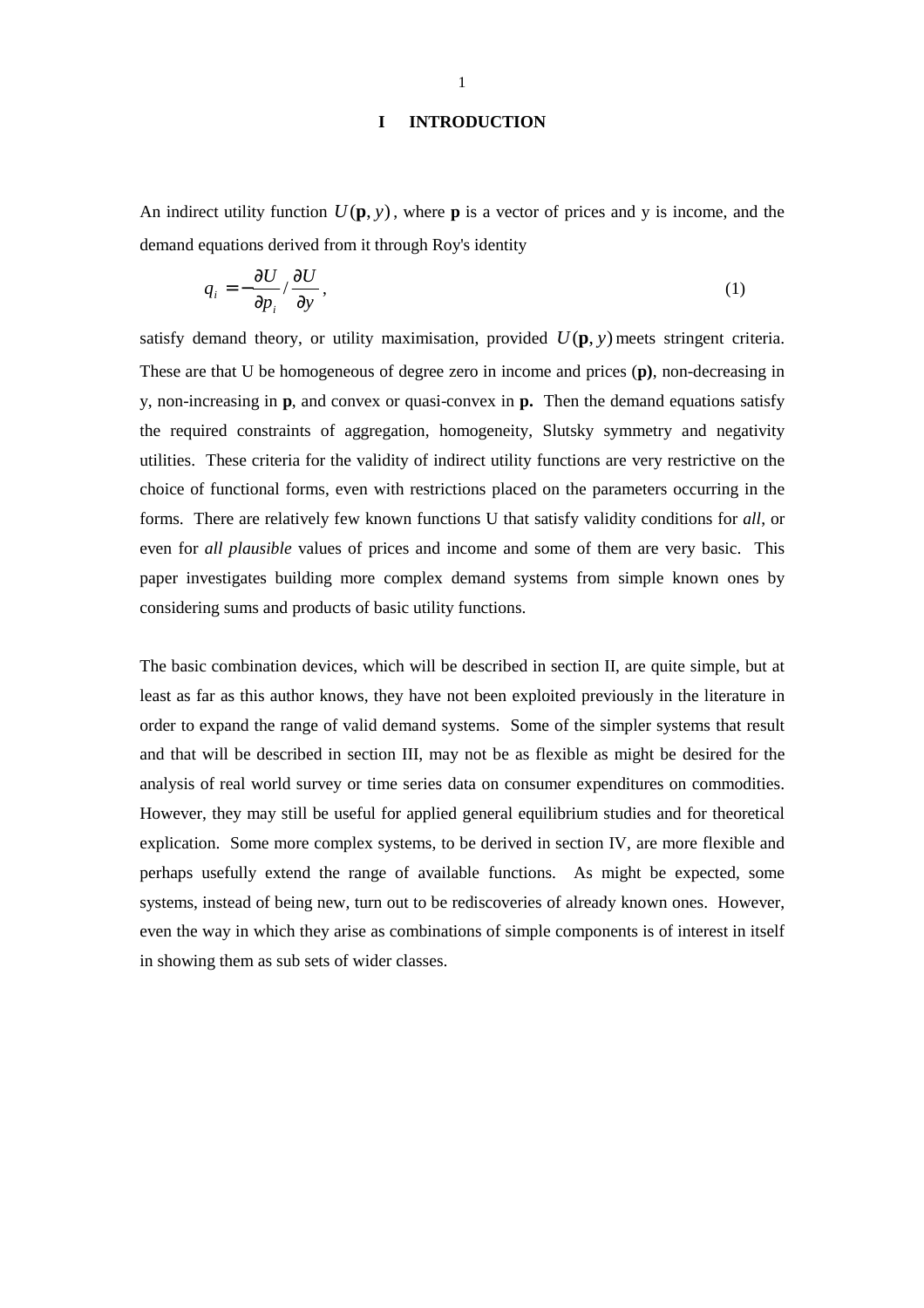## **I INTRODUCTION**

An indirect utility function  $U(\mathbf{p}, y)$ , where **p** is a vector of prices and y is income, and the demand equations derived from it through Roy's identity

$$
q_i = -\frac{\partial U}{\partial p_i} / \frac{\partial U}{\partial y},\tag{1}
$$

satisfy demand theory, or utility maximisation, provided  $U(\mathbf{p}, y)$  meets stringent criteria. These are that U be homogeneous of degree zero in income and prices (**p)**, non-decreasing in y, non-increasing in **p**, and convex or quasi-convex in **p.** Then the demand equations satisfy the required constraints of aggregation, homogeneity, Slutsky symmetry and negativity utilities. These criteria for the validity of indirect utility functions are very restrictive on the choice of functional forms, even with restrictions placed on the parameters occurring in the forms. There are relatively few known functions U that satisfy validity conditions for *all*, or even for *all plausible* values of prices and income and some of them are very basic. This paper investigates building more complex demand systems from simple known ones by considering sums and products of basic utility functions.

The basic combination devices, which will be described in section II, are quite simple, but at least as far as this author knows, they have not been exploited previously in the literature in order to expand the range of valid demand systems. Some of the simpler systems that result and that will be described in section III, may not be as flexible as might be desired for the analysis of real world survey or time series data on consumer expenditures on commodities. However, they may still be useful for applied general equilibrium studies and for theoretical explication. Some more complex systems, to be derived in section IV, are more flexible and perhaps usefully extend the range of available functions. As might be expected, some systems, instead of being new, turn out to be rediscoveries of already known ones. However, even the way in which they arise as combinations of simple components is of interest in itself in showing them as sub sets of wider classes.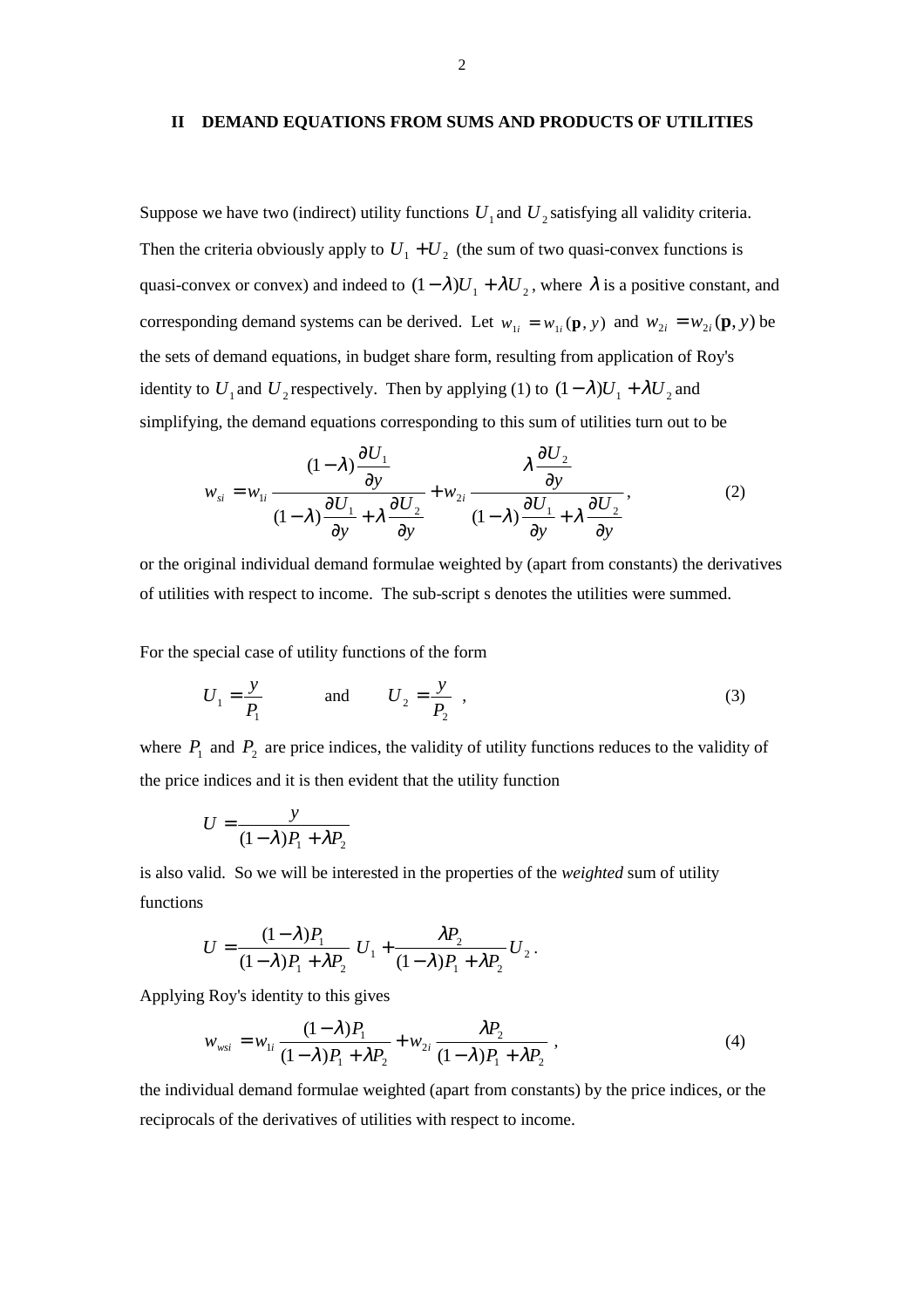#### **II DEMAND EQUATIONS FROM SUMS AND PRODUCTS OF UTILITIES**

Suppose we have two (indirect) utility functions  $U_1$  and  $U_2$  satisfying all validity criteria. Then the criteria obviously apply to  $U_1 + U_2$  (the sum of two quasi-convex functions is quasi-convex or convex) and indeed to  $(1 - \lambda)U_1 + \lambda U_2$ , where  $\lambda$  is a positive constant, and corresponding demand systems can be derived. Let  $w_{1i} = w_{1i}(\mathbf{p}, y)$  and  $w_{2i} = w_{2i}(\mathbf{p}, y)$  be the sets of demand equations, in budget share form, resulting from application of Roy's identity to  $U_1$  and  $U_2$  respectively. Then by applying (1) to  $(1 - \lambda)U_1 + \lambda U_2$  and simplifying, the demand equations corresponding to this sum of utilities turn out to be

$$
w_{si} = w_{1i} \frac{(1-\lambda)\frac{\partial U_1}{\partial y}}{(1-\lambda)\frac{\partial U_1}{\partial y} + \lambda \frac{\partial U_2}{\partial y}} + w_{2i} \frac{\lambda \frac{\partial U_2}{\partial y}}{(1-\lambda)\frac{\partial U_1}{\partial y} + \lambda \frac{\partial U_2}{\partial y}},
$$
(2)

or the original individual demand formulae weighted by (apart from constants) the derivatives of utilities with respect to income. The sub-script s denotes the utilities were summed.

For the special case of utility functions of the form

$$
U_1 = \frac{y}{P_1} \qquad \text{and} \qquad U_2 = \frac{y}{P_2} \tag{3}
$$

where  $P_1$  and  $P_2$  are price indices, the validity of utility functions reduces to the validity of the price indices and it is then evident that the utility function

$$
U = \frac{y}{(1 - \lambda)P_1 + \lambda P_2}
$$

is also valid. So we will be interested in the properties of the *weighted* sum of utility functions

$$
U=\frac{(1-\lambda)P_1}{(1-\lambda)P_1+\lambda P_2}U_1+\frac{\lambda P_2}{(1-\lambda)P_1+\lambda P_2}U_2.
$$

Applying Roy's identity to this gives

$$
w_{wsi} = w_{1i} \frac{(1 - \lambda)P_1}{(1 - \lambda)P_1 + \lambda P_2} + w_{2i} \frac{\lambda P_2}{(1 - \lambda)P_1 + \lambda P_2},
$$
\n(4)

the individual demand formulae weighted (apart from constants) by the price indices, or the reciprocals of the derivatives of utilities with respect to income.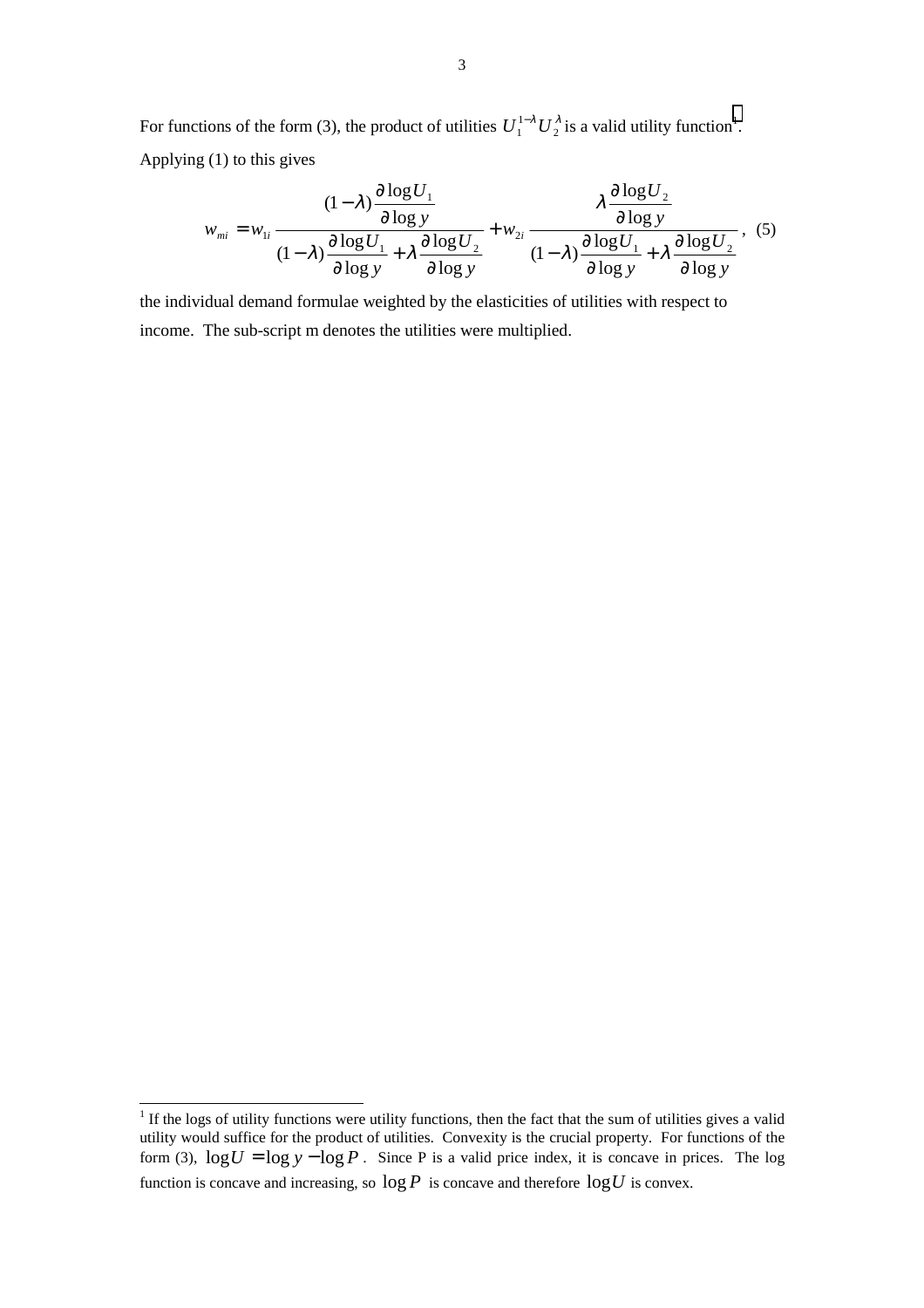For functions of the form (3), the product of utilities  $U_1^{1-\lambda} U_2^{\lambda}$  is a valid utility function<sup>1</sup>. Applying (1) to this gives

$$
w_{mi} = w_{1i} \frac{(1-\lambda)\frac{\partial \log U_1}{\partial \log y}}{(1-\lambda)\frac{\partial \log U_1}{\partial \log y} + \lambda \frac{\partial \log U_2}{\partial \log y}} + w_{2i} \frac{\lambda \frac{\partial \log U_2}{\partial \log y}}{(1-\lambda)\frac{\partial \log U_1}{\partial \log y} + \lambda \frac{\partial \log U_2}{\partial \log y}},
$$
(5)

the individual demand formulae weighted by the elasticities of utilities with respect to income. The sub-script m denotes the utilities were multiplied.

<sup>&</sup>lt;sup>1</sup> If the logs of utility functions were utility functions, then the fact that the sum of utilities gives a valid utility would suffice for the product of utilities. Convexity is the crucial property. For functions of the form (3),  $\log U = \log y - \log P$ . Since P is a valid price index, it is concave in prices. The log function is concave and increasing, so  $\log P$  is concave and therefore  $\log U$  is convex.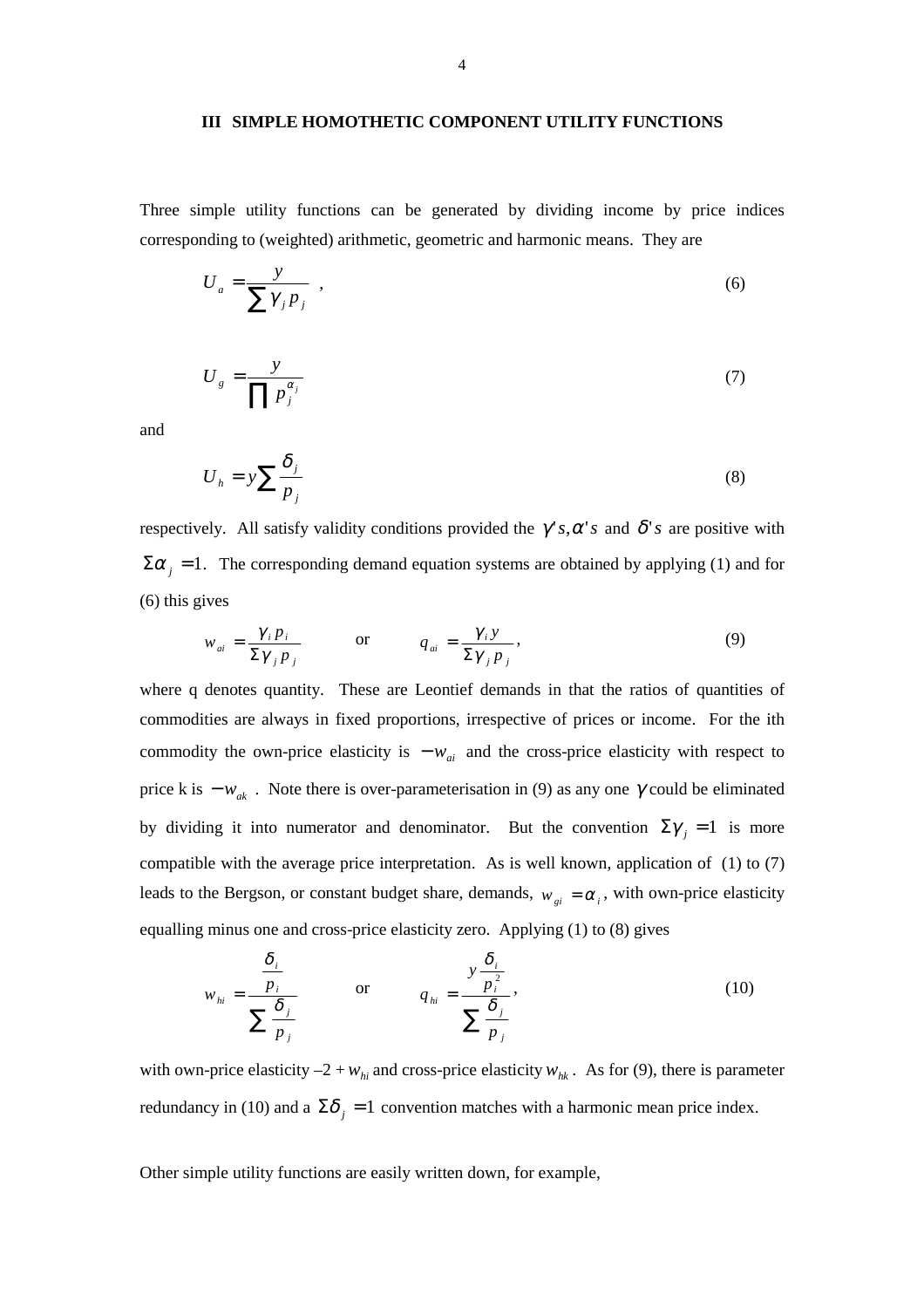#### **III SIMPLE HOMOTHETIC COMPONENT UTILITY FUNCTIONS**

Three simple utility functions can be generated by dividing income by price indices corresponding to (weighted) arithmetic, geometric and harmonic means. They are

$$
U_a = \frac{y}{\sum \gamma_j p_j} \tag{6}
$$

$$
U_g = \frac{y}{\prod p_j^{\alpha_j}}\tag{7}
$$

and

$$
U_h = y \sum \frac{\delta_j}{p_j} \tag{8}
$$

respectively. All satisfy validity conditions provided the  $\gamma' s, \alpha' s$  and  $\delta' s$  are positive with  $\Sigma \alpha_j = 1$ . The corresponding demand equation systems are obtained by applying (1) and for (6) this gives

$$
w_{ai} = \frac{\gamma_i p_i}{\Sigma \gamma_j p_j} \qquad \text{or} \qquad q_{ai} = \frac{\gamma_i y}{\Sigma \gamma_j p_j}, \qquad (9)
$$

where q denotes quantity. These are Leontief demands in that the ratios of quantities of commodities are always in fixed proportions, irrespective of prices or income. For the ith commodity the own-price elasticity is  $-w_{ai}$  and the cross-price elasticity with respect to price k is  $-w_{ak}$ . Note there is over-parameterisation in (9) as any one  $\gamma$  could be eliminated by dividing it into numerator and denominator. But the convention  $\Sigma \gamma_i = 1$  is more compatible with the average price interpretation. As is well known, application of (1) to (7) leads to the Bergson, or constant budget share, demands,  $w_{gi} = \alpha_i$ , with own-price elasticity equalling minus one and cross-price elasticity zero. Applying (1) to (8) gives

$$
w_{hi} = \frac{\frac{\delta_i}{p_i}}{\sum \frac{\delta_j}{p_j}} \qquad \text{or} \qquad q_{hi} = \frac{y \frac{\delta_i}{p_i^2}}{\sum \frac{\delta_j}{p_j}}, \qquad (10)
$$

with own-price elasticity  $-2 + w_{hi}$  and cross-price elasticity  $w_{hk}$ . As for (9), there is parameter redundancy in (10) and a  $\Sigma \delta_i = 1$  convention matches with a harmonic mean price index.

Other simple utility functions are easily written down, for example,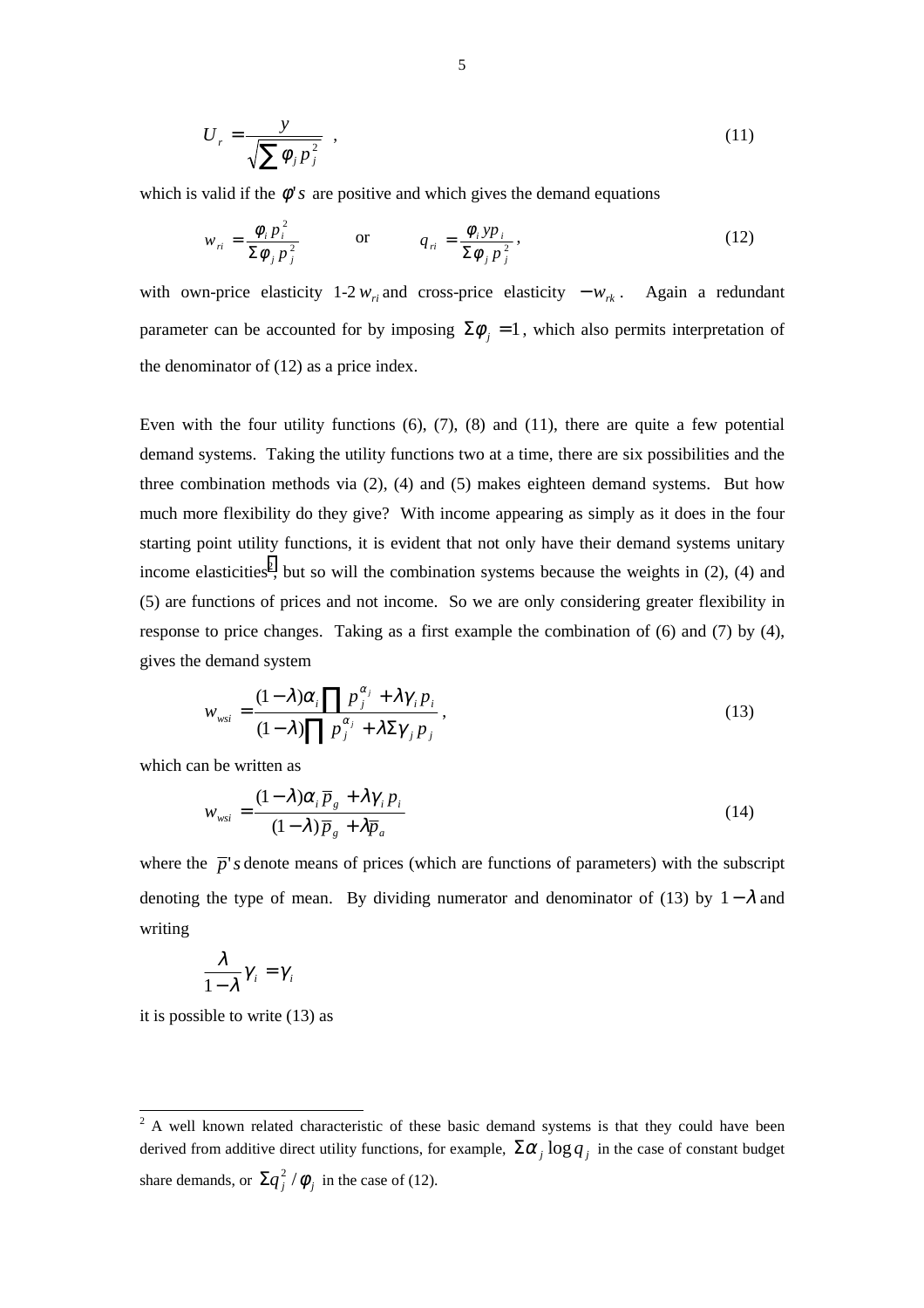$$
U_r = \frac{y}{\sqrt{\sum \phi_j p_j^2}} \tag{11}
$$

which is valid if the  $\phi$ '*s* are positive and which gives the demand equations

$$
w_{ri} = \frac{\phi_i p_i^2}{\Sigma \phi_j p_j^2} \qquad \text{or} \qquad q_{ri} = \frac{\phi_i y p_i}{\Sigma \phi_j p_j^2},
$$
 (12)

with own-price elasticity 1-2  $w_{ri}$  and cross-price elasticity  $-w_{rk}$ . Again a redundant parameter can be accounted for by imposing  $\Sigma \phi_i = 1$ , which also permits interpretation of the denominator of (12) as a price index.

Even with the four utility functions  $(6)$ ,  $(7)$ ,  $(8)$  and  $(11)$ , there are quite a few potential demand systems. Taking the utility functions two at a time, there are six possibilities and the three combination methods via (2), (4) and (5) makes eighteen demand systems. But how much more flexibility do they give? With income appearing as simply as it does in the four starting point utility functions, it is evident that not only have their demand systems unitary income elasticities<sup>2</sup>, but so will the combination systems because the weights in  $(2)$ ,  $(4)$  and (5) are functions of prices and not income. So we are only considering greater flexibility in response to price changes. Taking as a first example the combination of (6) and (7) by (4), gives the demand system

$$
w_{wsi} = \frac{(1 - \lambda)\alpha_i \prod p_j^{\alpha_j} + \lambda \gamma_i p_i}{(1 - \lambda) \prod p_j^{\alpha_j} + \lambda \Sigma \gamma_j p_j},
$$
\n(13)

which can be written as

$$
w_{\rm wsi} = \frac{(1 - \lambda)\alpha_i \overline{p}_g + \lambda \gamma_i p_i}{(1 - \lambda)\overline{p}_g + \lambda \overline{p}_a}
$$
(14)

where the  $\bar{p}$ 's denote means of prices (which are functions of parameters) with the subscript denoting the type of mean. By dividing numerator and denominator of (13) by  $1-\lambda$  and writing

$$
\frac{\lambda}{1-\lambda}\gamma_i=\gamma_i
$$

it is possible to write (13) as

<sup>&</sup>lt;sup>2</sup> A well known related characteristic of these basic demand systems is that they could have been derived from additive direct utility functions, for example,  $\sum \alpha_i \log q_i$  in the case of constant budget share demands, or  $\Sigma q_j^2 / \phi_j$  in the case of (12).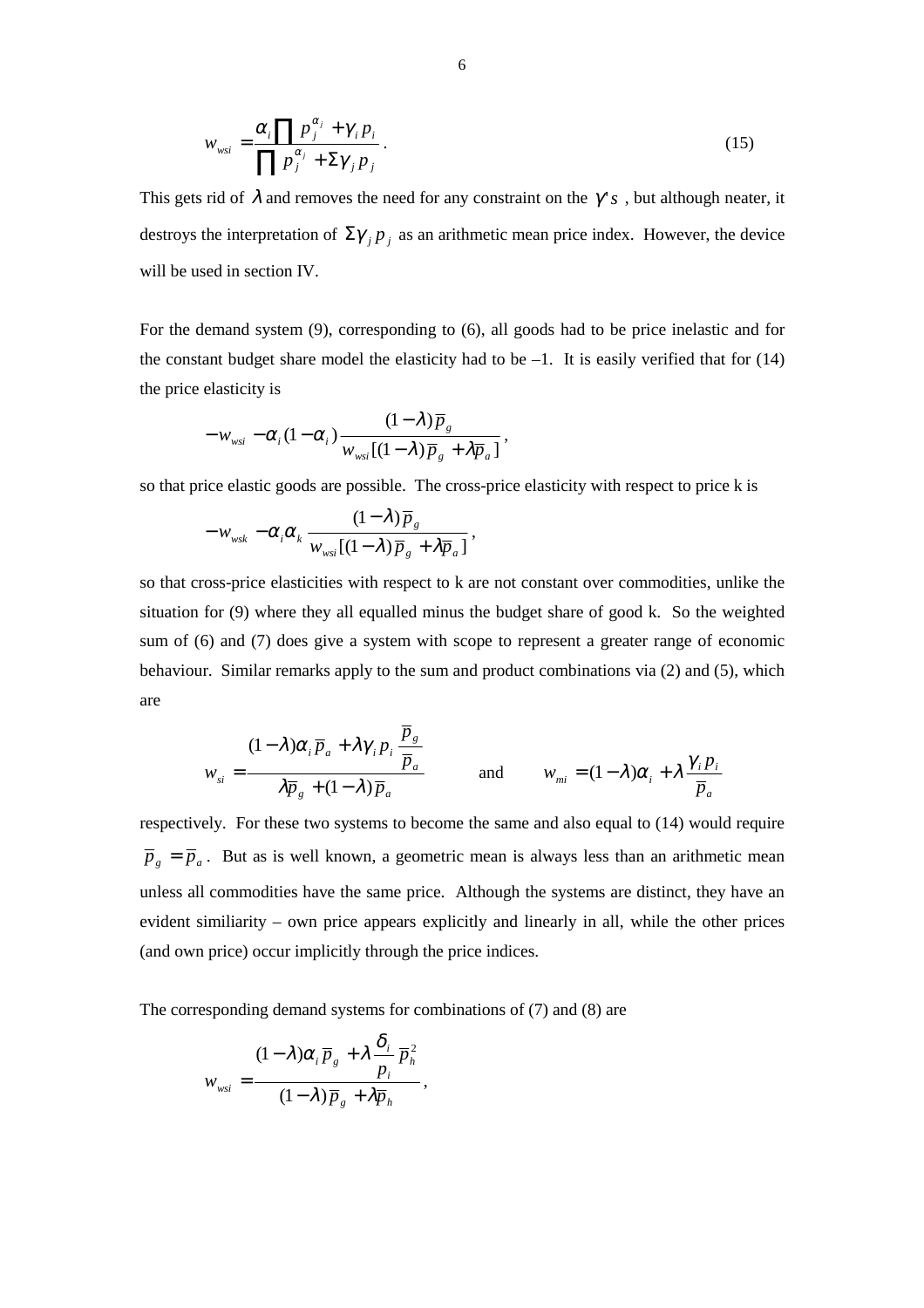$$
w_{wsi} = \frac{\alpha_i \prod p_j^{\alpha_j} + \gamma_i p_i}{\prod p_j^{\alpha_j} + \Sigma \gamma_j p_j}.
$$
\n(15)

This gets rid of  $\lambda$  and removes the need for any constraint on the  $\gamma'$ <sub>s</sub>, but although neater, it destroys the interpretation of  $\Sigma \gamma_i p_j$  as an arithmetic mean price index. However, the device will be used in section IV.

For the demand system (9), corresponding to (6), all goods had to be price inelastic and for the constant budget share model the elasticity had to be  $-1$ . It is easily verified that for (14) the price elasticity is

$$
-w_{wsi} - \alpha_i (1-\alpha_i) \frac{(1-\lambda)\overline{p}_g}{w_{wsi}[(1-\lambda)\overline{p}_g + \lambda \overline{p}_a]},
$$

so that price elastic goods are possible. The cross-price elasticity with respect to price k is

$$
-w_{\scriptscriptstyle wsk} - \alpha_{\scriptscriptstyle i}\alpha_{\scriptscriptstyle k}\, \frac{(1-\lambda)\,\overline{p}_{\scriptscriptstyle g}}{w_{\scriptscriptstyle wsk}[(1-\lambda)\,\overline{p}_{\scriptscriptstyle g} + \lambda\overline{p}_{\scriptscriptstyle a}]}\,,
$$

so that cross-price elasticities with respect to k are not constant over commodities, unlike the situation for (9) where they all equalled minus the budget share of good k. So the weighted sum of (6) and (7) does give a system with scope to represent a greater range of economic behaviour. Similar remarks apply to the sum and product combinations via (2) and (5), which are

$$
w_{si} = \frac{(1 - \lambda)\alpha_i \overline{p}_a + \lambda \gamma_i p_i \frac{\overline{p}_s}{\overline{p}_a}}{\lambda \overline{p}_s + (1 - \lambda)\overline{p}_a}
$$
 and 
$$
w_{mi} = (1 - \lambda)\alpha_i + \lambda \frac{\gamma_i p_i}{\overline{p}_a}
$$

respectively. For these two systems to become the same and also equal to (14) would require  $\overline{p}_g = \overline{p}_a$ . But as is well known, a geometric mean is always less than an arithmetic mean unless all commodities have the same price. Although the systems are distinct, they have an evident similiarity – own price appears explicitly and linearly in all, while the other prices (and own price) occur implicitly through the price indices.

The corresponding demand systems for combinations of (7) and (8) are

$$
w_{\rm wsi} = \frac{(1-\lambda)\alpha_i \overline{p}_s + \lambda \frac{\delta_i}{p_i} \overline{p}_h^2}{(1-\lambda)\overline{p}_s + \lambda \overline{p}_h},
$$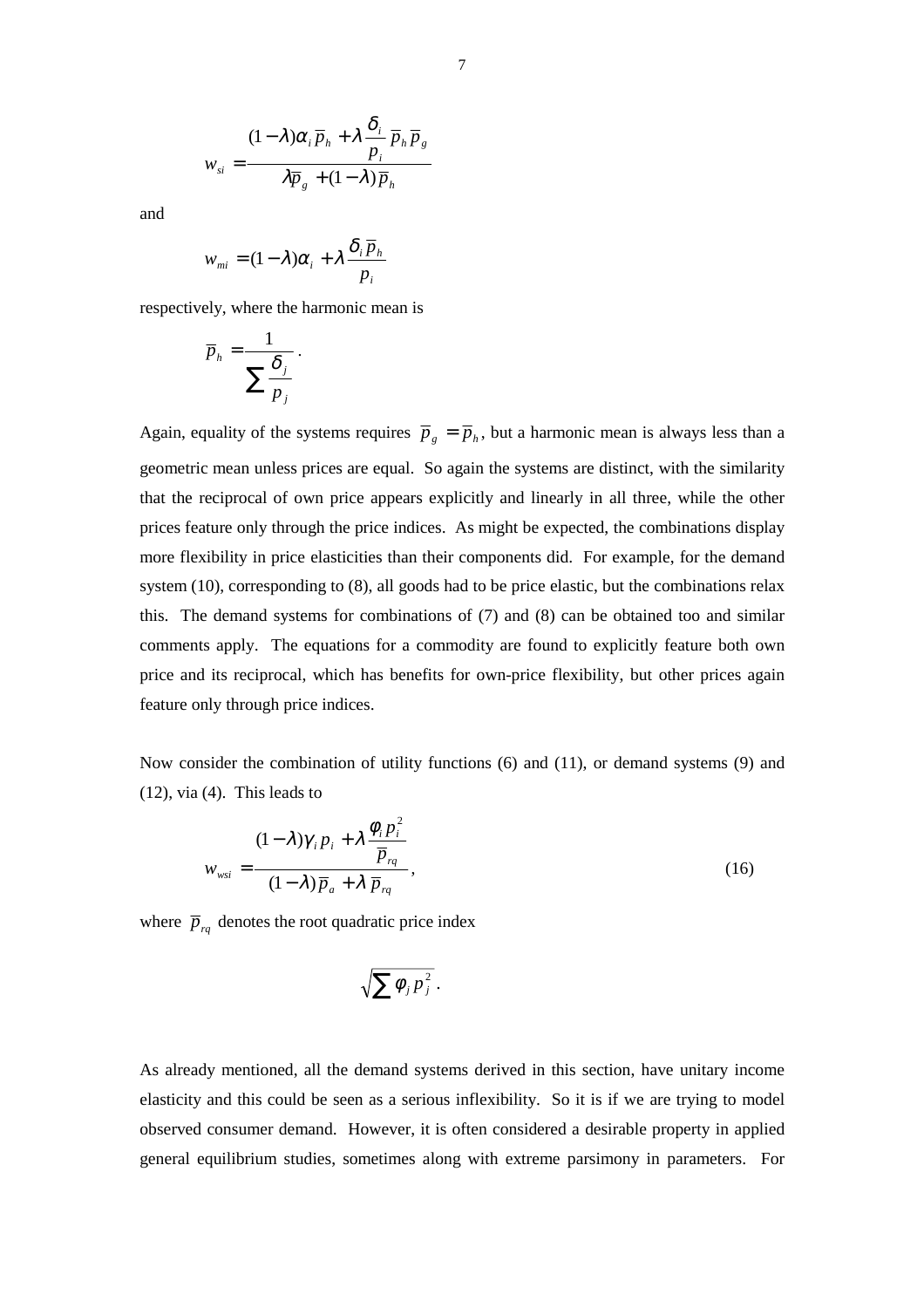and

$$
w_{mi} = (1 - \lambda)\alpha_i + \lambda \frac{\delta_i \overline{p}_h}{p_i}
$$

respectively, where the harmonic mean is

$$
\overline{p}_h = \frac{1}{\sum_{p_j} \frac{\delta_j}{p_j}}.
$$

Again, equality of the systems requires  $\overline{p}_g = \overline{p}_h$ , but a harmonic mean is always less than a geometric mean unless prices are equal. So again the systems are distinct, with the similarity that the reciprocal of own price appears explicitly and linearly in all three, while the other prices feature only through the price indices. As might be expected, the combinations display more flexibility in price elasticities than their components did. For example, for the demand system (10), corresponding to (8), all goods had to be price elastic, but the combinations relax this. The demand systems for combinations of (7) and (8) can be obtained too and similar comments apply. The equations for a commodity are found to explicitly feature both own price and its reciprocal, which has benefits for own-price flexibility, but other prices again feature only through price indices.

Now consider the combination of utility functions (6) and (11), or demand systems (9) and (12), via (4). This leads to

$$
w_{wsi} = \frac{(1 - \lambda)\gamma_i p_i + \lambda \frac{\phi_i p_i^2}{\overline{p}_{rq}}}{(1 - \lambda)\overline{p}_a + \lambda \overline{p}_{rq}},
$$
\n(16)

where  $\overline{p}_{rq}$  denotes the root quadratic price index

$$
\sqrt{\sum \phi_j p_j^2}.
$$

As already mentioned, all the demand systems derived in this section, have unitary income elasticity and this could be seen as a serious inflexibility. So it is if we are trying to model observed consumer demand. However, it is often considered a desirable property in applied general equilibrium studies, sometimes along with extreme parsimony in parameters. For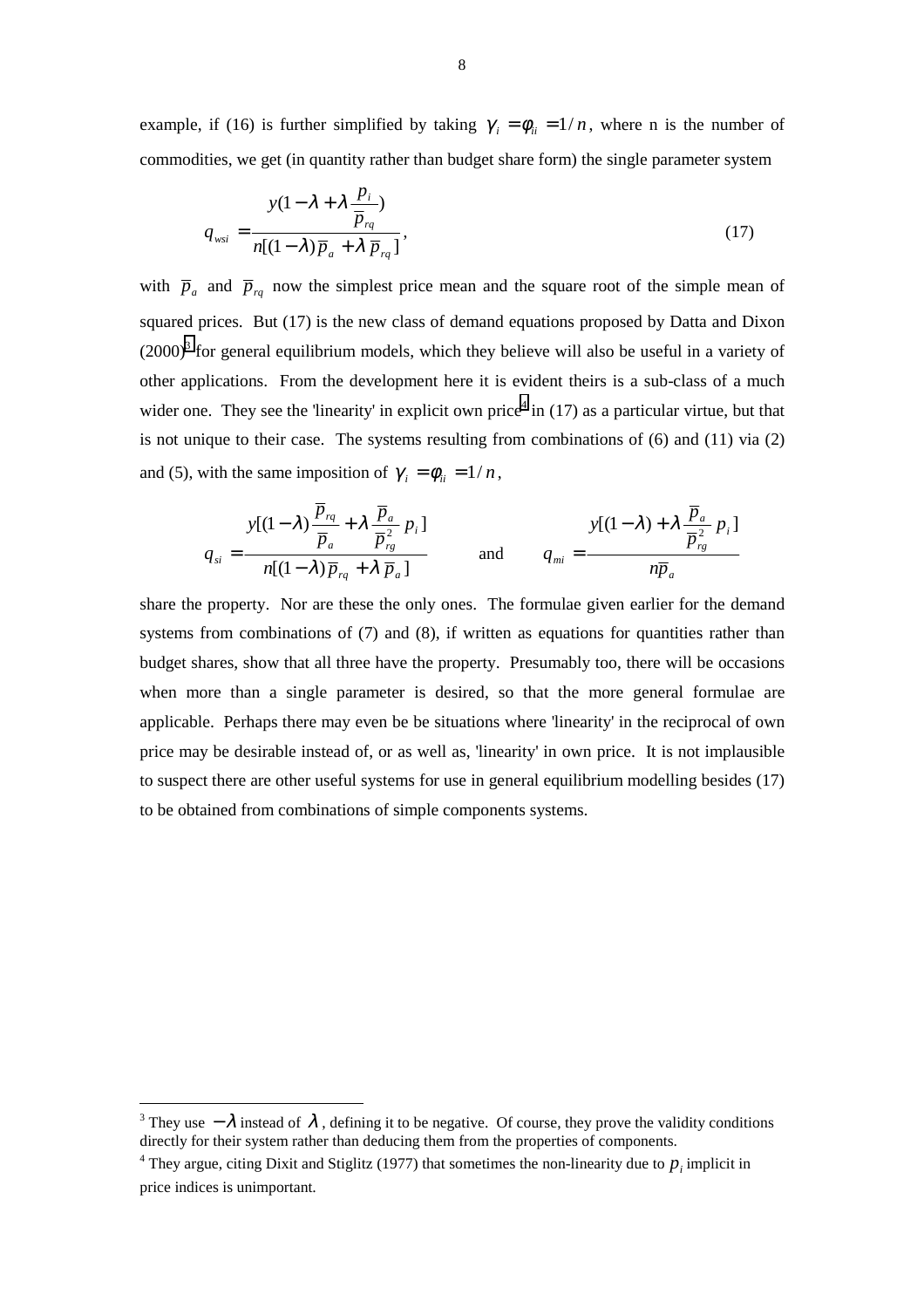example, if (16) is further simplified by taking  $\gamma_i = \phi_{ii} = 1/n$ , where n is the number of commodities, we get (in quantity rather than budget share form) the single parameter system

$$
q_{wsi} = \frac{y(1 - \lambda + \lambda \frac{p_i}{\overline{p}_{rq}})}{n[(1 - \lambda)\overline{p}_a + \lambda \overline{p}_{rq}]},
$$
\n(17)

with  $\overline{p}_a$  and  $\overline{p}_{rq}$  now the simplest price mean and the square root of the simple mean of squared prices. But (17) is the new class of demand equations proposed by Datta and Dixon  $(2000)<sup>3</sup>$  for general equilibrium models, which they believe will also be useful in a variety of other applications. From the development here it is evident theirs is a sub-class of a much wider one. They see the 'linearity' in explicit own price<sup>4</sup> in  $(17)$  as a particular virtue, but that is not unique to their case. The systems resulting from combinations of (6) and (11) via (2) and (5), with the same imposition of  $\gamma_i = \phi_{ii} = 1/n$ ,

$$
q_{si} = \frac{y[(1-\lambda)\frac{\overline{p}_{rq}}{\overline{p}_a} + \lambda \frac{\overline{p}_a}{\overline{p}_{rg}^2} p_i]}{n[(1-\lambda)\overline{p}_{rq} + \lambda \overline{p}_a]}
$$
 and 
$$
q_{mi} = \frac{y[(1-\lambda) + \lambda \frac{\overline{p}_a}{\overline{p}_g^2} p_i]}{n\overline{p}_a}
$$

share the property. Nor are these the only ones. The formulae given earlier for the demand systems from combinations of (7) and (8), if written as equations for quantities rather than budget shares, show that all three have the property. Presumably too, there will be occasions when more than a single parameter is desired, so that the more general formulae are applicable. Perhaps there may even be be situations where 'linearity' in the reciprocal of own price may be desirable instead of, or as well as, 'linearity' in own price. It is not implausible to suspect there are other useful systems for use in general equilibrium modelling besides (17) to be obtained from combinations of simple components systems.

 $\overline{a}$ 

<sup>&</sup>lt;sup>3</sup> They use  $-\lambda$  instead of  $\lambda$ , defining it to be negative. Of course, they prove the validity conditions directly for their system rather than deducing them from the properties of components.

<sup>&</sup>lt;sup>4</sup> They argue, citing Dixit and Stiglitz (1977) that sometimes the non-linearity due to  $p_i$  implicit in price indices is unimportant.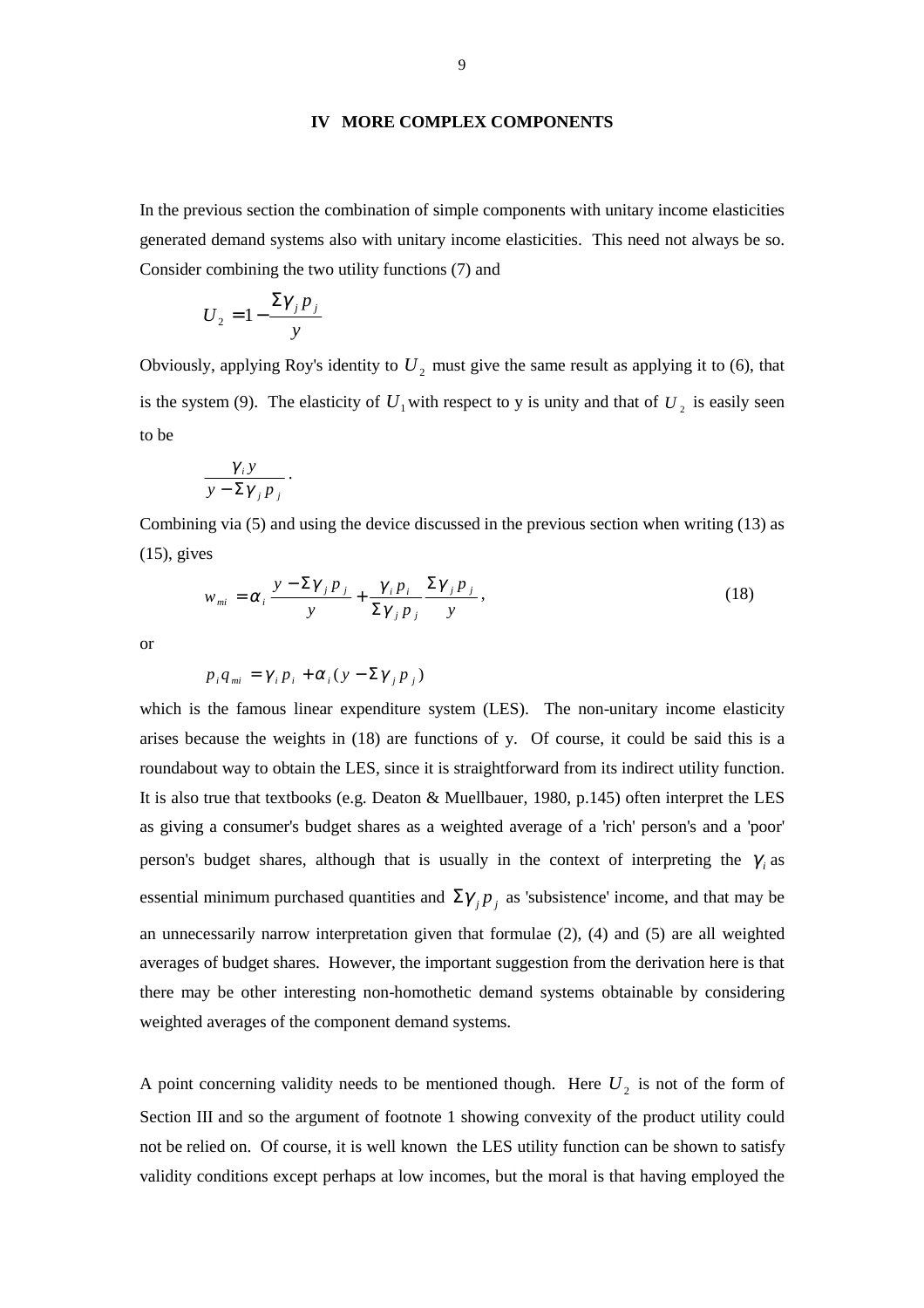### **IV MORE COMPLEX COMPONENTS**

In the previous section the combination of simple components with unitary income elasticities generated demand systems also with unitary income elasticities. This need not always be so. Consider combining the two utility functions (7) and

$$
U_2 = 1 - \frac{\Sigma \gamma_j p_j}{y}
$$

Obviously, applying Roy's identity to  $U_2$  must give the same result as applying it to (6), that is the system (9). The elasticity of  $U_1$  with respect to y is unity and that of  $U_2$  is easily seen to be

$$
\frac{\gamma_i y}{y - \Sigma \gamma_j p_j}.
$$

Combining via (5) and using the device discussed in the previous section when writing (13) as (15), gives

$$
w_{mi} = \alpha_i \frac{y - \Sigma \gamma_j p_j}{y} + \frac{\gamma_i p_i}{\Sigma \gamma_j p_j} \frac{\Sigma \gamma_j p_j}{y},
$$
\n(18)

or

$$
p_i q_{mi} = \gamma_i p_i + \alpha_i (y - \Sigma \gamma_j p_j)
$$

which is the famous linear expenditure system (LES). The non-unitary income elasticity arises because the weights in (18) are functions of y. Of course, it could be said this is a roundabout way to obtain the LES, since it is straightforward from its indirect utility function. It is also true that textbooks (e.g. Deaton & Muellbauer, 1980, p.145) often interpret the LES as giving a consumer's budget shares as a weighted average of a 'rich' person's and a 'poor' person's budget shares, although that is usually in the context of interpreting the  $\gamma_i$  as essential minimum purchased quantities and  $\Sigma \gamma_j p_j$  as 'subsistence' income, and that may be an unnecessarily narrow interpretation given that formulae (2), (4) and (5) are all weighted averages of budget shares. However, the important suggestion from the derivation here is that there may be other interesting non-homothetic demand systems obtainable by considering weighted averages of the component demand systems.

A point concerning validity needs to be mentioned though. Here  $U_2$  is not of the form of Section III and so the argument of footnote 1 showing convexity of the product utility could not be relied on. Of course, it is well known the LES utility function can be shown to satisfy validity conditions except perhaps at low incomes, but the moral is that having employed the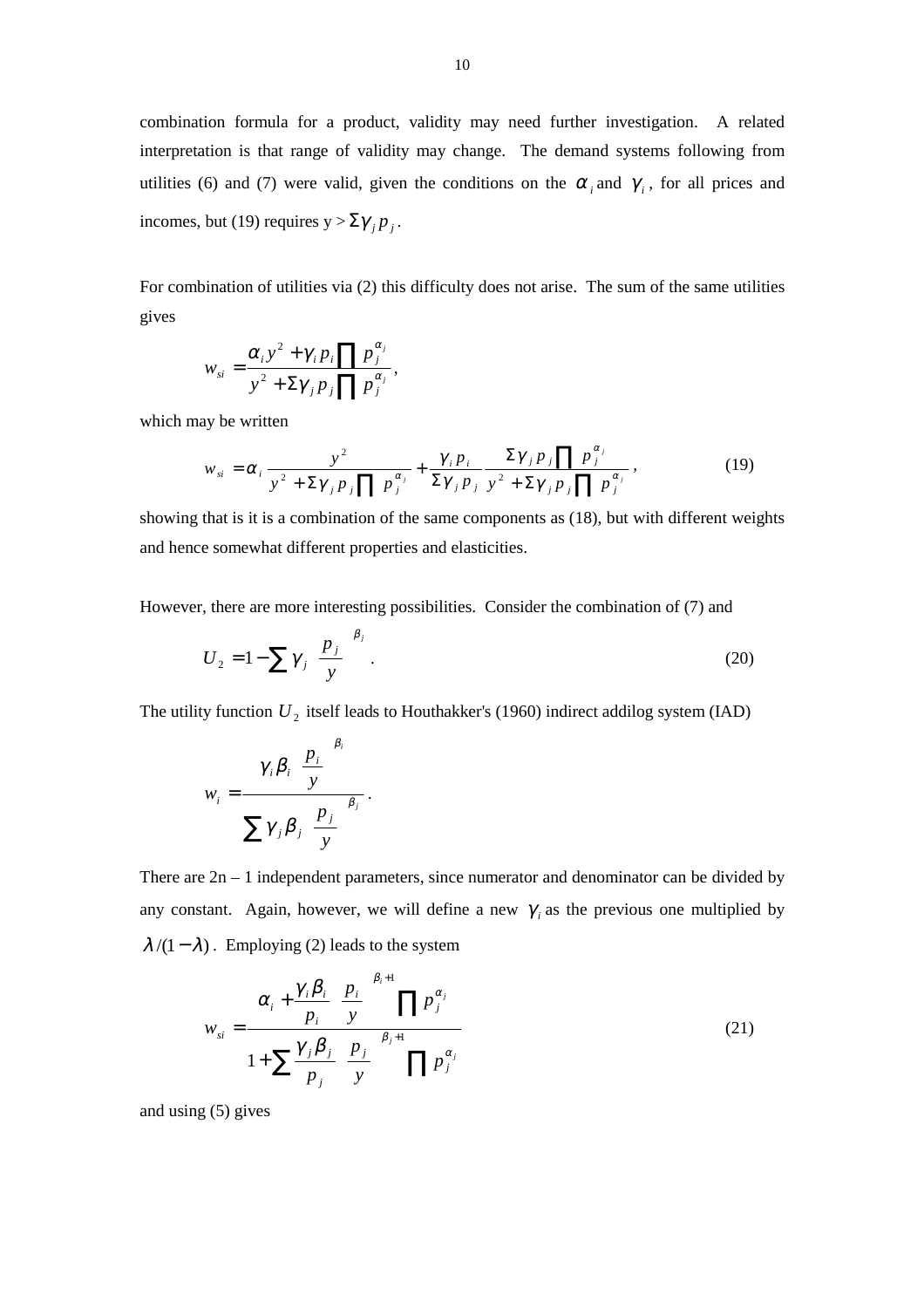combination formula for a product, validity may need further investigation. A related interpretation is that range of validity may change. The demand systems following from utilities (6) and (7) were valid, given the conditions on the  $\alpha_i$  and  $\gamma_i$ , for all prices and incomes, but (19) requires  $y > \sum \gamma_i p_i$ .

For combination of utilities via (2) this difficulty does not arise. The sum of the same utilities gives

$$
w_{si} = \frac{\alpha_i y^2 + \gamma_i p_i \prod p_j^{\alpha_j}}{y^2 + \Sigma \gamma_j p_j \prod p_j^{\alpha_j}},
$$

which may be written

$$
w_{si} = \alpha_i \frac{y^2}{y^2 + \Sigma \gamma_j p_j \prod p_j^{\alpha_j}} + \frac{\gamma_i p_i}{\Sigma \gamma_j p_j} \frac{\Sigma \gamma_j p_j \prod p_j^{\alpha_j}}{y^2 + \Sigma \gamma_j p_j \prod p_j^{\alpha_j}},
$$
(19)

showing that is it is a combination of the same components as (18), but with different weights and hence somewhat different properties and elasticities.

However, there are more interesting possibilities. Consider the combination of (7) and

$$
U_2 = 1 - \sum \gamma_j \left(\frac{p_j}{y}\right)^{\beta_j}.
$$
 (20)

The utility function  $U_2$  itself leads to Houthakker's (1960) indirect addilog system (IAD)

$$
w_i = \frac{\gamma_i \beta_i \left(\frac{p_i}{y}\right)^{\beta_i}}{\sum \gamma_j \beta_j \left(\frac{p_j}{y}\right)^{\beta_j}}.
$$

There are  $2n - 1$  independent parameters, since numerator and denominator can be divided by any constant. Again, however, we will define a new  $\gamma$  as the previous one multiplied by  $\lambda$ /(1 –  $\lambda$ ). Employing (2) leads to the system

$$
w_{si} = \frac{\alpha_i + \frac{\gamma_i \beta_i}{p_i} \left(\frac{p_i}{y}\right)^{\beta_i+1} \prod p_j^{\alpha_j}}{1 + \sum \frac{\gamma_j \beta_j}{p_j} \left(\frac{p_j}{y}\right)^{\beta_j+1} \prod p_j^{\alpha_j}}
$$
(21)

and using (5) gives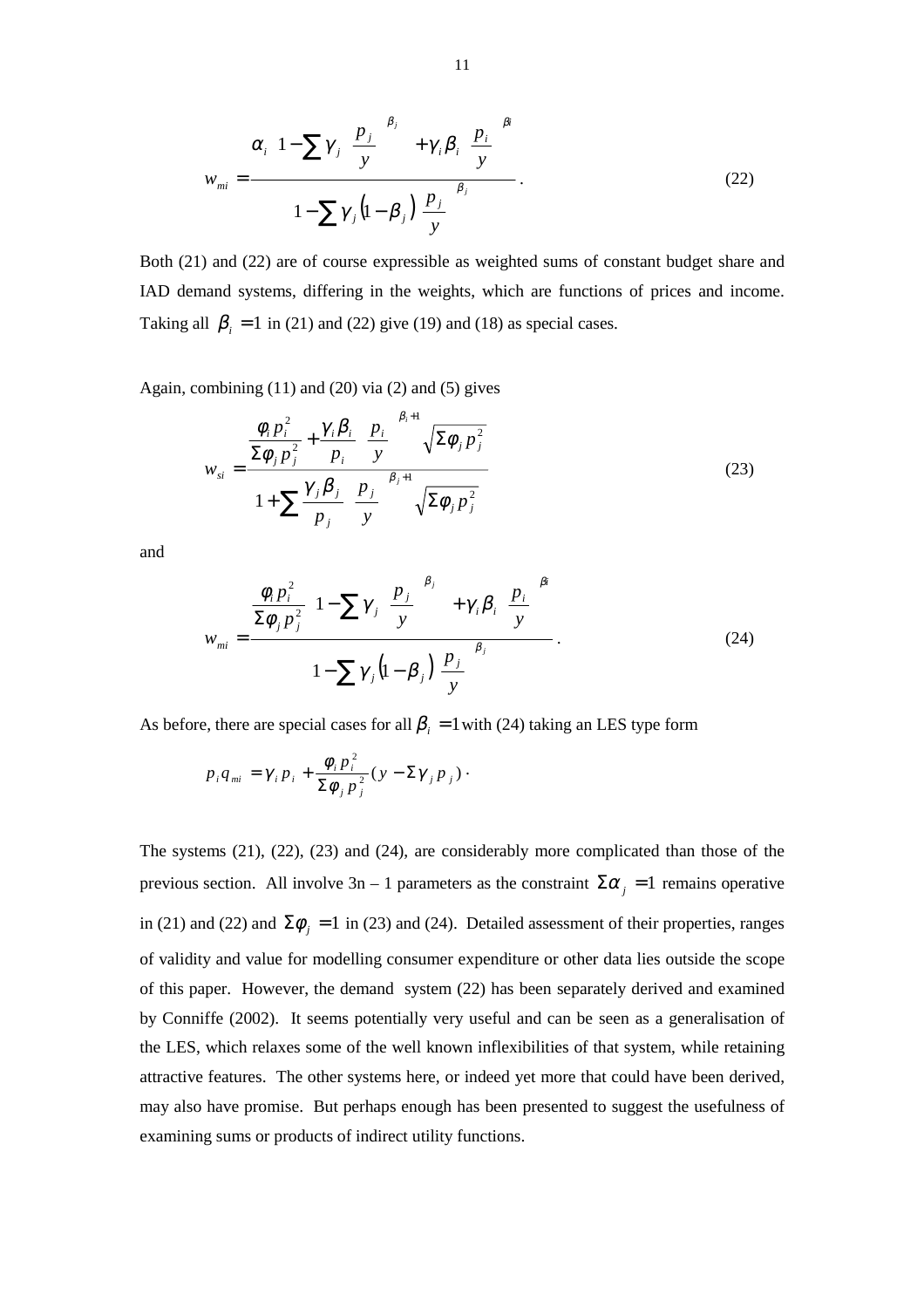$$
w_{mi} = \frac{\alpha_i \left\{ 1 - \sum \gamma_j \left( \frac{p_j}{y} \right)^{\beta_j} \right\} + \gamma_i \beta_i \left( \frac{p_i}{y} \right)^{\beta_i}}{1 - \sum \gamma_j \left( 1 - \beta_j \right) \left( \frac{p_j}{y} \right)^{\beta_j}}.
$$
\n(22)

Both (21) and (22) are of course expressible as weighted sums of constant budget share and IAD demand systems, differing in the weights, which are functions of prices and income. Taking all  $\beta_i = 1$  in (21) and (22) give (19) and (18) as special cases.

Again, combining  $(11)$  and  $(20)$  via  $(2)$  and  $(5)$  gives

$$
w_{si} = \frac{\frac{\phi_i p_i^2}{\Sigma \phi_j p_j^2} + \frac{\gamma_i \beta_i}{p_i} \left(\frac{p_i}{y}\right)^{\beta_i+1} \sqrt{\Sigma \phi_j p_j^2}}{1 + \sum \frac{\gamma_j \beta_j}{p_j} \left(\frac{p_j}{y}\right)^{\beta_j+1} \sqrt{\Sigma \phi_j p_j^2}}
$$
(23)

and

$$
w_{mi} = \frac{\frac{\phi_i p_i^2}{\Sigma \phi_j p_j^2} \left\{ 1 - \sum \gamma_j \left( \frac{p_j}{y} \right)^{\beta_j} \right\} + \gamma_i \beta_i \left( \frac{p_i}{y} \right)^{\beta_i}}{1 - \sum \gamma_j \left( 1 - \beta_j \left( \frac{p_j}{y} \right)^{\beta_j} \right)}.
$$
 (24)

As before, there are special cases for all  $\beta_i = 1$  with (24) taking an LES type form

$$
p_i q_{mi} = \gamma_i p_i + \frac{\phi_i p_i^2}{\Sigma \phi_j p_j^2} (y - \Sigma \gamma_j p_j).
$$

The systems (21), (22), (23) and (24), are considerably more complicated than those of the previous section. All involve  $3n - 1$  parameters as the constraint  $\Sigma \alpha_j = 1$  remains operative in (21) and (22) and  $\Sigma \phi_i = 1$  in (23) and (24). Detailed assessment of their properties, ranges of validity and value for modelling consumer expenditure or other data lies outside the scope of this paper. However, the demand system (22) has been separately derived and examined by Conniffe (2002). It seems potentially very useful and can be seen as a generalisation of the LES, which relaxes some of the well known inflexibilities of that system, while retaining attractive features. The other systems here, or indeed yet more that could have been derived, may also have promise. But perhaps enough has been presented to suggest the usefulness of examining sums or products of indirect utility functions.